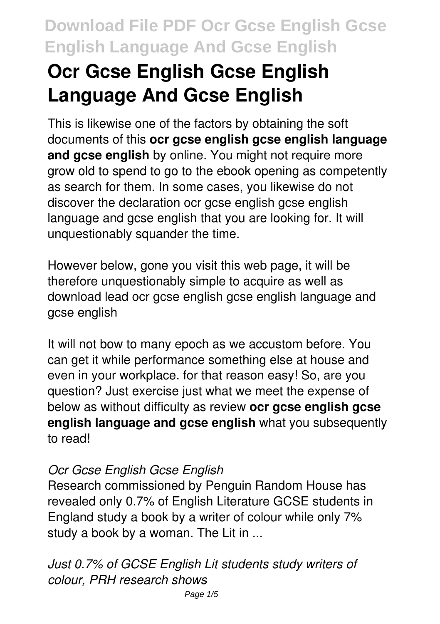# **Ocr Gcse English Gcse English Language And Gcse English**

This is likewise one of the factors by obtaining the soft documents of this **ocr gcse english gcse english language and gcse english** by online. You might not require more grow old to spend to go to the ebook opening as competently as search for them. In some cases, you likewise do not discover the declaration ocr gcse english gcse english language and gcse english that you are looking for. It will unquestionably squander the time.

However below, gone you visit this web page, it will be therefore unquestionably simple to acquire as well as download lead ocr gcse english gcse english language and gcse english

It will not bow to many epoch as we accustom before. You can get it while performance something else at house and even in your workplace. for that reason easy! So, are you question? Just exercise just what we meet the expense of below as without difficulty as review **ocr gcse english gcse english language and gcse english** what you subsequently to read!

### *Ocr Gcse English Gcse English*

Research commissioned by Penguin Random House has revealed only 0.7% of English Literature GCSE students in England study a book by a writer of colour while only 7% study a book by a woman. The Lit in ...

*Just 0.7% of GCSE English Lit students study writers of colour, PRH research shows*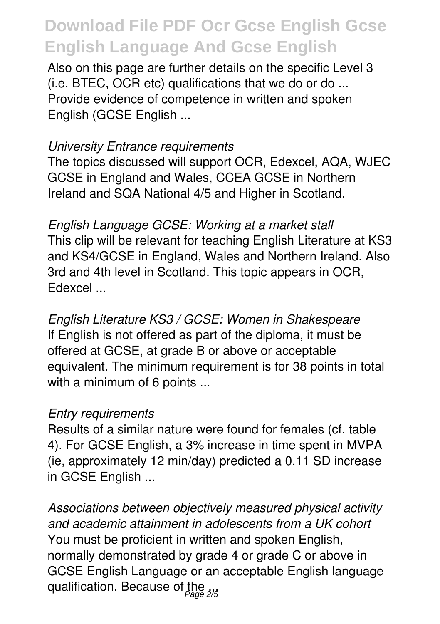Also on this page are further details on the specific Level 3 (i.e. BTEC, OCR etc) qualifications that we do or do ... Provide evidence of competence in written and spoken English (GCSE English ...

#### *University Entrance requirements*

The topics discussed will support OCR, Edexcel, AQA, WJEC GCSE in England and Wales, CCEA GCSE in Northern Ireland and SQA National 4/5 and Higher in Scotland.

*English Language GCSE: Working at a market stall* This clip will be relevant for teaching English Literature at KS3 and KS4/GCSE in England, Wales and Northern Ireland. Also 3rd and 4th level in Scotland. This topic appears in OCR, Edexcel ...

*English Literature KS3 / GCSE: Women in Shakespeare* If English is not offered as part of the diploma, it must be offered at GCSE, at grade B or above or acceptable equivalent. The minimum requirement is for 38 points in total with a minimum of 6 points ...

#### *Entry requirements*

Results of a similar nature were found for females (cf. table 4). For GCSE English, a 3% increase in time spent in MVPA (ie, approximately 12 min/day) predicted a 0.11 SD increase in GCSE English ...

*Associations between objectively measured physical activity and academic attainment in adolescents from a UK cohort* You must be proficient in written and spoken English, normally demonstrated by grade 4 or grade C or above in GCSE English Language or an acceptable English language qualification. Because of the <sub>2/5</sub>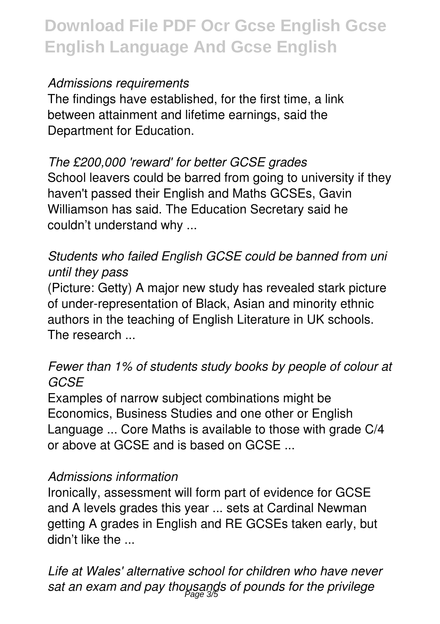### *Admissions requirements*

The findings have established, for the first time, a link between attainment and lifetime earnings, said the Department for Education.

### *The £200,000 'reward' for better GCSE grades*

School leavers could be barred from going to university if they haven't passed their English and Maths GCSEs, Gavin Williamson has said. The Education Secretary said he couldn't understand why ...

## *Students who failed English GCSE could be banned from uni until they pass*

(Picture: Getty) A major new study has revealed stark picture of under-representation of Black, Asian and minority ethnic authors in the teaching of English Literature in UK schools. The research ...

### *Fewer than 1% of students study books by people of colour at GCSE*

Examples of narrow subject combinations might be Economics, Business Studies and one other or English Language ... Core Maths is available to those with grade C/4 or above at GCSE and is based on GCSE ...

#### *Admissions information*

Ironically, assessment will form part of evidence for GCSE and A levels grades this year ... sets at Cardinal Newman getting A grades in English and RE GCSEs taken early, but didn't like the ...

*Life at Wales' alternative school for children who have never* sat an exam and pay thousands of pounds for the privilege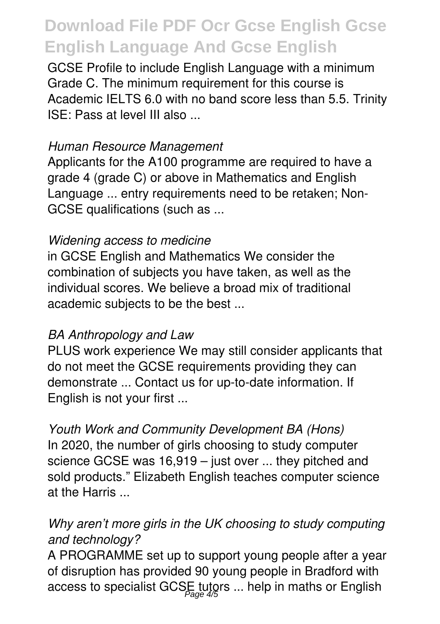GCSE Profile to include English Language with a minimum Grade C. The minimum requirement for this course is Academic IELTS 6.0 with no band score less than 5.5. Trinity ISE: Pass at level III also ...

#### *Human Resource Management*

Applicants for the A100 programme are required to have a grade 4 (grade C) or above in Mathematics and English Language ... entry requirements need to be retaken; Non-GCSE qualifications (such as ...

#### *Widening access to medicine*

in GCSE English and Mathematics We consider the combination of subjects you have taken, as well as the individual scores. We believe a broad mix of traditional academic subjects to be the best ...

#### *BA Anthropology and Law*

PLUS work experience We may still consider applicants that do not meet the GCSE requirements providing they can demonstrate ... Contact us for up-to-date information. If English is not your first ...

*Youth Work and Community Development BA (Hons)* In 2020, the number of girls choosing to study computer science GCSE was 16,919 – just over ... they pitched and sold products." Elizabeth English teaches computer science at the Harris ...

## *Why aren't more girls in the UK choosing to study computing and technology?*

A PROGRAMME set up to support young people after a year of disruption has provided 90 young people in Bradford with access to specialist GCSE tutors ... help in maths or English